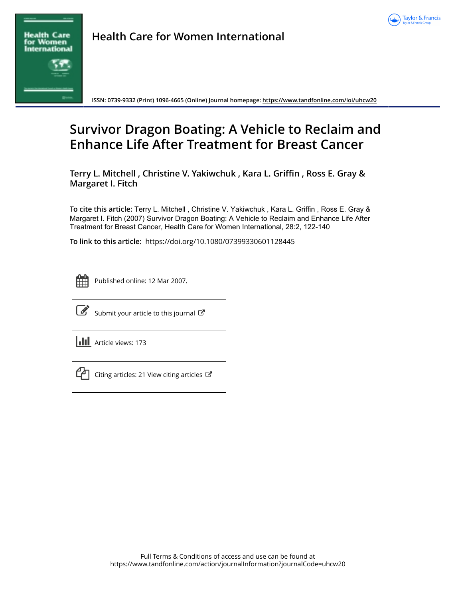



**Health Care for Women International**

**ISSN: 0739-9332 (Print) 1096-4665 (Online) Journal homepage:<https://www.tandfonline.com/loi/uhcw20>**

# **Survivor Dragon Boating: A Vehicle to Reclaim and Enhance Life After Treatment for Breast Cancer**

**Terry L. Mitchell , Christine V. Yakiwchuk , Kara L. Griffin , Ross E. Gray & Margaret I. Fitch**

**To cite this article:** Terry L. Mitchell , Christine V. Yakiwchuk , Kara L. Griffin , Ross E. Gray & Margaret I. Fitch (2007) Survivor Dragon Boating: A Vehicle to Reclaim and Enhance Life After Treatment for Breast Cancer, Health Care for Women International, 28:2, 122-140

**To link to this article:** <https://doi.org/10.1080/07399330601128445>



Published online: 12 Mar 2007.



[Submit your article to this journal](https://www.tandfonline.com/action/authorSubmission?journalCode=uhcw20&show=instructions)  $\mathbb{Z}$ 

**III** Article views: 173



 $\Box$  [Citing articles: 21 View citing articles](https://www.tandfonline.com/doi/citedby/10.1080/07399330601128445#tabModule)  $\Box$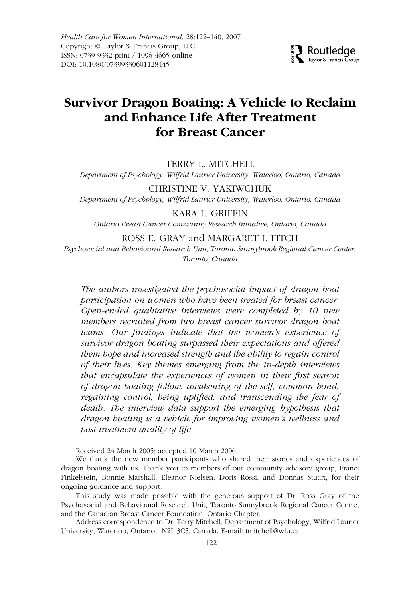

# **Survivor Dragon Boating: A Vehicle to Reclaim and Enhance Life After Treatment for Breast Cancer**

# TERRY L. MITCHELL

*Department of Psychology, Wilfrid Laurier University, Waterloo, Ontario, Canada*

CHRISTINE V. YAKIWCHUK *Department of Psychology, Wilfrid Laurier University, Waterloo, Ontario, Canada*

KARA L. GRIFFIN *Ontario Breast Cancer Community Research Initiative, Ontario, Canada*

## ROSS E. GRAY and MARGARET I. FITCH

*Psychosocial and Behavioural Research Unit, Toronto Sunnybrook Regional Cancer Center, Toronto, Canada*

*The authors investigated the psychosocial impact of dragon boat participation on women who have been treated for breast cancer. Open-ended qualitative interviews were completed by 10 new members recruited from two breast cancer survivor dragon boat teams. Our findings indicate that the women's experience of survivor dragon boating surpassed their expectations and offered them hope and increased strength and the ability to regain control of their lives. Key themes emerging from the in-depth interviews that encapsulate the experiences of women in their first season of dragon boating follow: awakening of the self, common bond, regaining control, being uplifted, and transcending the fear of death. The interview data support the emerging hypothesis that dragon boating is a vehicle for improving women's wellness and post-treatment quality of life.*

Received 24 March 2005; accepted 10 March 2006.

We thank the new member participants who shared their stories and experiences of dragon boating with us. Thank you to members of our community advisory group, Franci Finkelstein, Bonnie Marshall, Eleanor Nielsen, Doris Rossi, and Donnas Stuart, for their ongoing guidance and support.

This study was made possible with the generous support of Dr. Ross Gray of the Psychosocial and Behavioural Research Unit, Toronto Sunnybrook Regional Cancer Centre, and the Canadian Breast Cancer Foundation, Ontario Chapter.

Address correspondence to Dr. Terry Mitchell, Department of Psychology, Wilfrid Laurier University, Waterloo, Ontario, N2L 3C5, Canada. E-mail: tmitchell@wlu.ca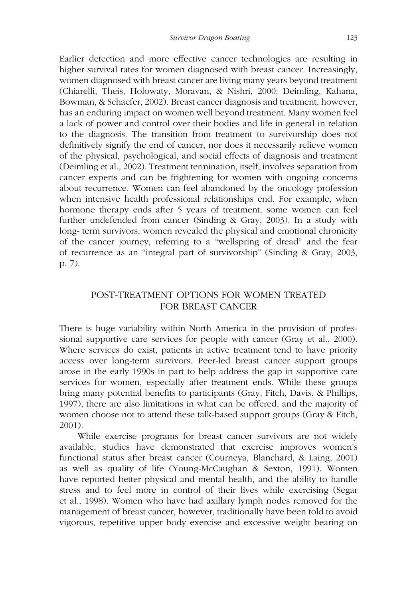Earlier detection and more effective cancer technologies are resulting in higher survival rates for women diagnosed with breast cancer. Increasingly, women diagnosed with breast cancer are living many years beyond treatment (Chiarelli, Theis, Holowaty, Moravan, & Nishri, 2000; Deimling, Kahana, Bowman, & Schaefer, 2002). Breast cancer diagnosis and treatment, however, has an enduring impact on women well beyond treatment. Many women feel a lack of power and control over their bodies and life in general in relation to the diagnosis. The transition from treatment to survivorship does not definitively signify the end of cancer, nor does it necessarily relieve women of the physical, psychological, and social effects of diagnosis and treatment (Deimling et al., 2002). Treatment termination, itself, involves separation from cancer experts and can be frightening for women with ongoing concerns about recurrence. Women can feel abandoned by the oncology profession when intensive health professional relationships end. For example, when hormone therapy ends after 5 years of treatment, some women can feel further undefended from cancer (Sinding & Gray, 2003). In a study with long- term survivors, women revealed the physical and emotional chronicity of the cancer journey, referring to a "wellspring of dread" and the fear of recurrence as an "integral part of survivorship" (Sinding & Gray, 2003, p. 7).

# POST-TREATMENT OPTIONS FOR WOMEN TREATED FOR BREAST CANCER

There is huge variability within North America in the provision of professional supportive care services for people with cancer (Gray et al., 2000). Where services do exist, patients in active treatment tend to have priority access over long-term survivors. Peer-led breast cancer support groups arose in the early 1990s in part to help address the gap in supportive care services for women, especially after treatment ends. While these groups bring many potential benefits to participants (Gray, Fitch, Davis, & Phillips, 1997), there are also limitations in what can be offered, and the majority of women choose not to attend these talk-based support groups (Gray & Fitch, 2001).

While exercise programs for breast cancer survivors are not widely available, studies have demonstrated that exercise improves women's functional status after breast cancer (Courneya, Blanchard, & Laing, 2001) as well as quality of life (Young-McCaughan & Sexton, 1991). Women have reported better physical and mental health, and the ability to handle stress and to feel more in control of their lives while exercising (Segar et al., 1998). Women who have had axillary lymph nodes removed for the management of breast cancer, however, traditionally have been told to avoid vigorous, repetitive upper body exercise and excessive weight bearing on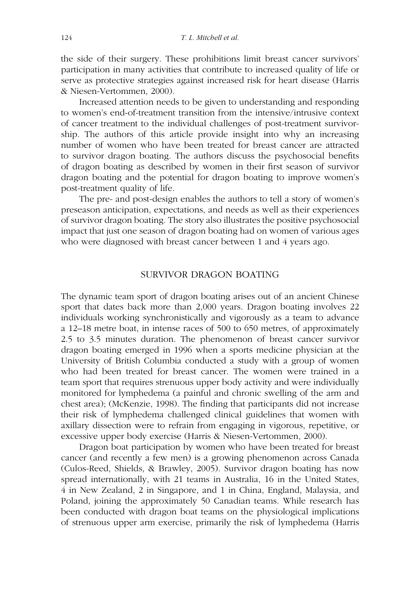the side of their surgery. These prohibitions limit breast cancer survivors' participation in many activities that contribute to increased quality of life or serve as protective strategies against increased risk for heart disease (Harris & Niesen-Vertommen, 2000).

Increased attention needs to be given to understanding and responding to women's end-of-treatment transition from the intensive/intrusive context of cancer treatment to the individual challenges of post-treatment survivorship. The authors of this article provide insight into why an increasing number of women who have been treated for breast cancer are attracted to survivor dragon boating. The authors discuss the psychosocial benefits of dragon boating as described by women in their first season of survivor dragon boating and the potential for dragon boating to improve women's post-treatment quality of life.

The pre- and post-design enables the authors to tell a story of women's preseason anticipation, expectations, and needs as well as their experiences of survivor dragon boating. The story also illustrates the positive psychosocial impact that just one season of dragon boating had on women of various ages who were diagnosed with breast cancer between 1 and 4 years ago.

# SURVIVOR DRAGON BOATING

The dynamic team sport of dragon boating arises out of an ancient Chinese sport that dates back more than 2,000 years. Dragon boating involves 22 individuals working synchronistically and vigorously as a team to advance a 12–18 metre boat, in intense races of 500 to 650 metres, of approximately 2.5 to 3.5 minutes duration. The phenomenon of breast cancer survivor dragon boating emerged in 1996 when a sports medicine physician at the University of British Columbia conducted a study with a group of women who had been treated for breast cancer. The women were trained in a team sport that requires strenuous upper body activity and were individually monitored for lymphedema (a painful and chronic swelling of the arm and chest area); (McKenzie, 1998). The finding that participants did not increase their risk of lymphedema challenged clinical guidelines that women with axillary dissection were to refrain from engaging in vigorous, repetitive, or excessive upper body exercise (Harris & Niesen-Vertommen, 2000).

Dragon boat participation by women who have been treated for breast cancer (and recently a few men) is a growing phenomenon across Canada (Culos-Reed, Shields, & Brawley, 2005). Survivor dragon boating has now spread internationally, with 21 teams in Australia, 16 in the United States, 4 in New Zealand, 2 in Singapore, and 1 in China, England, Malaysia, and Poland, joining the approximately 50 Canadian teams. While research has been conducted with dragon boat teams on the physiological implications of strenuous upper arm exercise, primarily the risk of lymphedema (Harris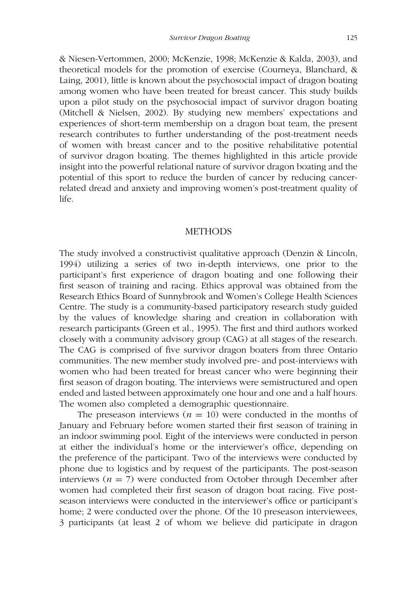& Niesen-Vertommen, 2000; McKenzie, 1998; McKenzie & Kalda, 2003), and theoretical models for the promotion of exercise (Courneya, Blanchard, & Laing, 2001), little is known about the psychosocial impact of dragon boating among women who have been treated for breast cancer. This study builds upon a pilot study on the psychosocial impact of survivor dragon boating (Mitchell & Nielsen, 2002). By studying new members' expectations and experiences of short-term membership on a dragon boat team, the present research contributes to further understanding of the post-treatment needs of women with breast cancer and to the positive rehabilitative potential of survivor dragon boating. The themes highlighted in this article provide insight into the powerful relational nature of survivor dragon boating and the potential of this sport to reduce the burden of cancer by reducing cancerrelated dread and anxiety and improving women's post-treatment quality of life.

#### METHODS

The study involved a constructivist qualitative approach (Denzin & Lincoln, 1994) utilizing a series of two in-depth interviews, one prior to the participant's first experience of dragon boating and one following their first season of training and racing. Ethics approval was obtained from the Research Ethics Board of Sunnybrook and Women's College Health Sciences Centre. The study is a community-based participatory research study guided by the values of knowledge sharing and creation in collaboration with research participants (Green et al., 1995). The first and third authors worked closely with a community advisory group (CAG) at all stages of the research. The CAG is comprised of five survivor dragon boaters from three Ontario communities. The new member study involved pre- and post-interviews with women who had been treated for breast cancer who were beginning their first season of dragon boating. The interviews were semistructured and open ended and lasted between approximately one hour and one and a half hours. The women also completed a demographic questionnaire.

The preseason interviews  $(n = 10)$  were conducted in the months of January and February before women started their first season of training in an indoor swimming pool. Eight of the interviews were conducted in person at either the individual's home or the interviewer's office, depending on the preference of the participant. Two of the interviews were conducted by phone due to logistics and by request of the participants. The post-season interviews  $(n = 7)$  were conducted from October through December after women had completed their first season of dragon boat racing. Five postseason interviews were conducted in the interviewer's office or participant's home; 2 were conducted over the phone. Of the 10 preseason interviewees, 3 participants (at least 2 of whom we believe did participate in dragon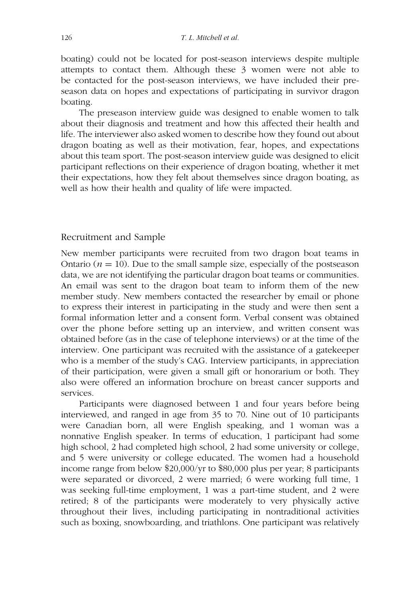boating) could not be located for post-season interviews despite multiple attempts to contact them. Although these 3 women were not able to be contacted for the post-season interviews, we have included their preseason data on hopes and expectations of participating in survivor dragon boating.

The preseason interview guide was designed to enable women to talk about their diagnosis and treatment and how this affected their health and life. The interviewer also asked women to describe how they found out about dragon boating as well as their motivation, fear, hopes, and expectations about this team sport. The post-season interview guide was designed to elicit participant reflections on their experience of dragon boating, whether it met their expectations, how they felt about themselves since dragon boating, as well as how their health and quality of life were impacted.

# Recruitment and Sample

New member participants were recruited from two dragon boat teams in Ontario ( $n = 10$ ). Due to the small sample size, especially of the postseason data, we are not identifying the particular dragon boat teams or communities. An email was sent to the dragon boat team to inform them of the new member study. New members contacted the researcher by email or phone to express their interest in participating in the study and were then sent a formal information letter and a consent form. Verbal consent was obtained over the phone before setting up an interview, and written consent was obtained before (as in the case of telephone interviews) or at the time of the interview. One participant was recruited with the assistance of a gatekeeper who is a member of the study's CAG. Interview participants, in appreciation of their participation, were given a small gift or honorarium or both. They also were offered an information brochure on breast cancer supports and services.

Participants were diagnosed between 1 and four years before being interviewed, and ranged in age from 35 to 70. Nine out of 10 participants were Canadian born, all were English speaking, and 1 woman was a nonnative English speaker. In terms of education, 1 participant had some high school, 2 had completed high school, 2 had some university or college, and 5 were university or college educated. The women had a household income range from below \$20,000/yr to \$80,000 plus per year; 8 participants were separated or divorced, 2 were married; 6 were working full time, 1 was seeking full-time employment, 1 was a part-time student, and 2 were retired; 8 of the participants were moderately to very physically active throughout their lives, including participating in nontraditional activities such as boxing, snowboarding, and triathlons. One participant was relatively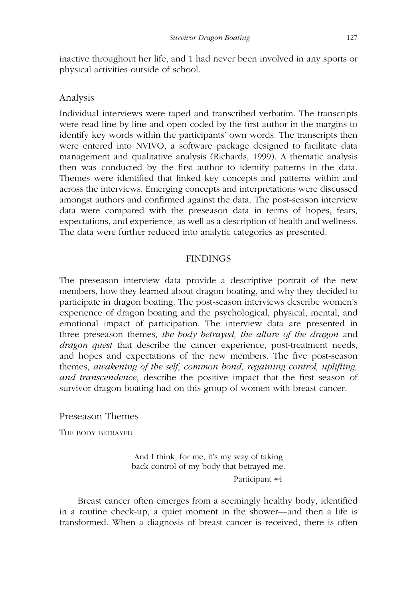inactive throughout her life, and 1 had never been involved in any sports or physical activities outside of school.

# Analysis

Individual interviews were taped and transcribed verbatim. The transcripts were read line by line and open coded by the first author in the margins to identify key words within the participants' own words. The transcripts then were entered into NVIVO, a software package designed to facilitate data management and qualitative analysis (Richards, 1999). A thematic analysis then was conducted by the first author to identify patterns in the data. Themes were identified that linked key concepts and patterns within and across the interviews. Emerging concepts and interpretations were discussed amongst authors and confirmed against the data. The post-season interview data were compared with the preseason data in terms of hopes, fears, expectations, and experience, as well as a description of health and wellness. The data were further reduced into analytic categories as presented.

# **FINDINGS**

The preseason interview data provide a descriptive portrait of the new members, how they learned about dragon boating, and why they decided to participate in dragon boating. The post-season interviews describe women's experience of dragon boating and the psychological, physical, mental, and emotional impact of participation. The interview data are presented in three preseason themes, *the body betrayed, the allure of the dragon* and *dragon quest* that describe the cancer experience, post-treatment needs, and hopes and expectations of the new members. The five post-season themes, *awakening of the self, common bond, regaining control, uplifting, and transcendence*, describe the positive impact that the first season of survivor dragon boating had on this group of women with breast cancer.

# Preseason Themes

THE BODY BETRAYED

And I think, for me, it's my way of taking back control of my body that betrayed me. Participant #4

Breast cancer often emerges from a seemingly healthy body, identified in a routine check-up, a quiet moment in the shower—and then a life is transformed. When a diagnosis of breast cancer is received, there is often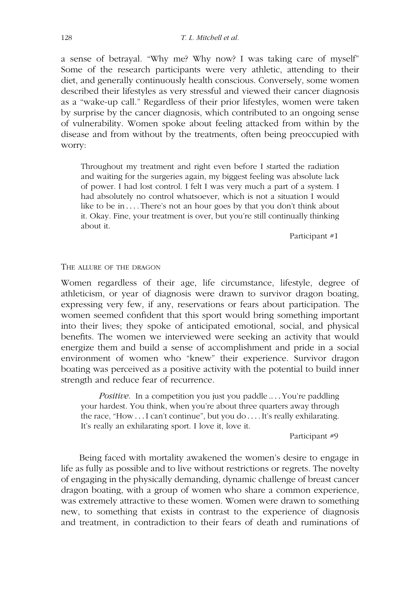a sense of betrayal. "Why me? Why now? I was taking care of myself" Some of the research participants were very athletic, attending to their diet, and generally continuously health conscious. Conversely, some women described their lifestyles as very stressful and viewed their cancer diagnosis as a "wake-up call." Regardless of their prior lifestyles, women were taken by surprise by the cancer diagnosis, which contributed to an ongoing sense of vulnerability. Women spoke about feeling attacked from within by the disease and from without by the treatments, often being preoccupied with worry:

Throughout my treatment and right even before I started the radiation and waiting for the surgeries again, my biggest feeling was absolute lack of power. I had lost control. I felt I was very much a part of a system. I had absolutely no control whatsoever, which is not a situation I would like to be in ... . There's not an hour goes by that you don't think about it. Okay. Fine, your treatment is over, but you're still continually thinking about it.

Participant #1

#### THE ALLURE OF THE DRAGON

Women regardless of their age, life circumstance, lifestyle, degree of athleticism, or year of diagnosis were drawn to survivor dragon boating, expressing very few, if any, reservations or fears about participation. The women seemed confident that this sport would bring something important into their lives; they spoke of anticipated emotional, social, and physical benefits. The women we interviewed were seeking an activity that would energize them and build a sense of accomplishment and pride in a social environment of women who "knew" their experience. Survivor dragon boating was perceived as a positive activity with the potential to build inner strength and reduce fear of recurrence.

*Positive.* In a competition you just you paddle ... You're paddling your hardest. You think, when you're about three quarters away through the race, "How ... I can't continue", but you do ... . It's really exhilarating. It's really an exhilarating sport. I love it, love it.

Participant #9

Being faced with mortality awakened the women's desire to engage in life as fully as possible and to live without restrictions or regrets. The novelty of engaging in the physically demanding, dynamic challenge of breast cancer dragon boating, with a group of women who share a common experience, was extremely attractive to these women. Women were drawn to something new, to something that exists in contrast to the experience of diagnosis and treatment, in contradiction to their fears of death and ruminations of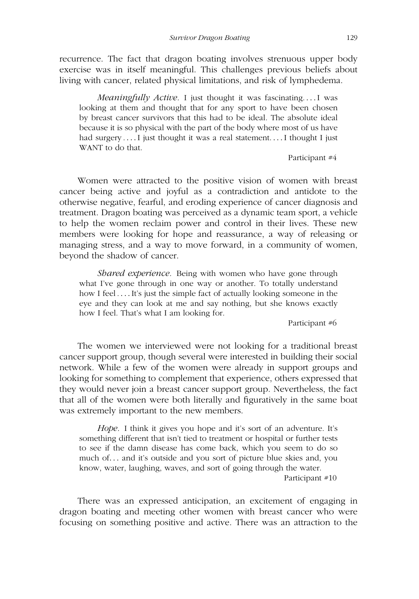recurrence. The fact that dragon boating involves strenuous upper body exercise was in itself meaningful. This challenges previous beliefs about living with cancer, related physical limitations, and risk of lymphedema.

*Meaningfully Active.* I just thought it was fascinating. ... I was looking at them and thought that for any sport to have been chosen by breast cancer survivors that this had to be ideal. The absolute ideal because it is so physical with the part of the body where most of us have had surgery .... I just thought it was a real statement.... I thought I just WANT to do that.

Participant #4

Women were attracted to the positive vision of women with breast cancer being active and joyful as a contradiction and antidote to the otherwise negative, fearful, and eroding experience of cancer diagnosis and treatment. Dragon boating was perceived as a dynamic team sport, a vehicle to help the women reclaim power and control in their lives. These new members were looking for hope and reassurance, a way of releasing or managing stress, and a way to move forward, in a community of women, beyond the shadow of cancer.

*Shared experience.* Being with women who have gone through what I've gone through in one way or another. To totally understand how I feel .... It's just the simple fact of actually looking someone in the eye and they can look at me and say nothing, but she knows exactly how I feel. That's what I am looking for.

Participant #6

The women we interviewed were not looking for a traditional breast cancer support group, though several were interested in building their social network. While a few of the women were already in support groups and looking for something to complement that experience, others expressed that they would never join a breast cancer support group. Nevertheless, the fact that all of the women were both literally and figuratively in the same boat was extremely important to the new members.

*Hope.* I think it gives you hope and it's sort of an adventure. It's something different that isn't tied to treatment or hospital or further tests to see if the damn disease has come back, which you seem to do so much of... and it's outside and you sort of picture blue skies and, you know, water, laughing, waves, and sort of going through the water.

Participant #10

There was an expressed anticipation, an excitement of engaging in dragon boating and meeting other women with breast cancer who were focusing on something positive and active. There was an attraction to the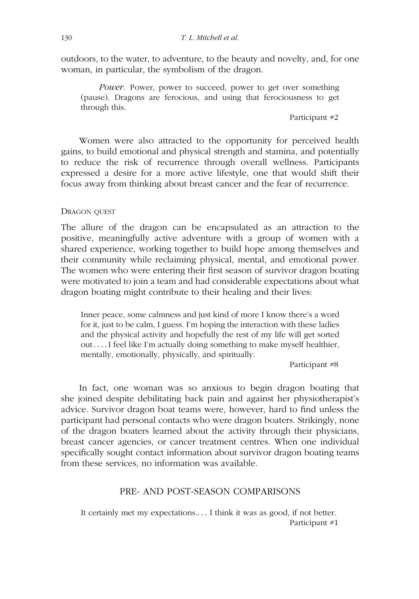outdoors, to the water, to adventure, to the beauty and novelty, and, for one woman, in particular, the symbolism of the dragon.

*Power.* Power, power to succeed, power to get over something (pause). Dragons are ferocious, and using that ferociousness to get through this.

Participant #2

Women were also attracted to the opportunity for perceived health gains, to build emotional and physical strength and stamina, and potentially to reduce the risk of recurrence through overall wellness. Participants expressed a desire for a more active lifestyle, one that would shift their focus away from thinking about breast cancer and the fear of recurrence.

#### DRAGON QUEST

The allure of the dragon can be encapsulated as an attraction to the positive, meaningfully active adventure with a group of women with a shared experience, working together to build hope among themselves and their community while reclaiming physical, mental, and emotional power. The women who were entering their first season of survivor dragon boating were motivated to join a team and had considerable expectations about what dragon boating might contribute to their healing and their lives:

Inner peace, some calmness and just kind of more I know there's a word for it, just to be calm, I guess. I'm hoping the interaction with these ladies and the physical activity and hopefully the rest of my life will get sorted out . ... I feel like I'm actually doing something to make myself healthier, mentally, emotionally, physically, and spiritually.

Participant #8

In fact, one woman was so anxious to begin dragon boating that she joined despite debilitating back pain and against her physiotherapist's advice. Survivor dragon boat teams were, however, hard to find unless the participant had personal contacts who were dragon boaters. Strikingly, none of the dragon boaters learned about the activity through their physicians, breast cancer agencies, or cancer treatment centres. When one individual specifically sought contact information about survivor dragon boating teams from these services, no information was available.

# PRE- AND POST-SEASON COMPARISONS

It certainly met my expectations.... I think it was as good, if not better. Participant #1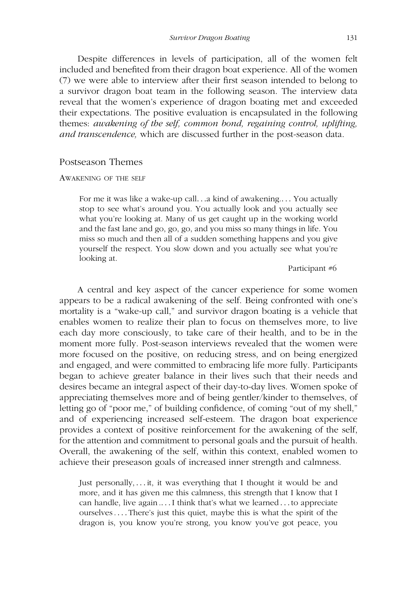*Survivor Dragon Boating* 131

Despite differences in levels of participation, all of the women felt included and benefited from their dragon boat experience. All of the women (7) we were able to interview after their first season intended to belong to a survivor dragon boat team in the following season. The interview data reveal that the women's experience of dragon boating met and exceeded their expectations. The positive evaluation is encapsulated in the following themes: *awakening of the self, common bond, regaining control, uplifting, and transcendence,* which are discussed further in the post-season data.

# Postseason Themes

#### AWAKENING OF THE SELF

For me it was like a wake-up call...a kind of awakening.... You actually stop to see what's around you. You actually look and you actually see what you're looking at. Many of us get caught up in the working world and the fast lane and go, go, go, and you miss so many things in life. You miss so much and then all of a sudden something happens and you give yourself the respect. You slow down and you actually see what you're looking at.

Participant #6

A central and key aspect of the cancer experience for some women appears to be a radical awakening of the self. Being confronted with one's mortality is a "wake-up call," and survivor dragon boating is a vehicle that enables women to realize their plan to focus on themselves more, to live each day more consciously, to take care of their health, and to be in the moment more fully. Post-season interviews revealed that the women were more focused on the positive, on reducing stress, and on being energized and engaged, and were committed to embracing life more fully. Participants began to achieve greater balance in their lives such that their needs and desires became an integral aspect of their day-to-day lives. Women spoke of appreciating themselves more and of being gentler/kinder to themselves, of letting go of "poor me," of building confidence, of coming "out of my shell," and of experiencing increased self-esteem. The dragon boat experience provides a context of positive reinforcement for the awakening of the self, for the attention and commitment to personal goals and the pursuit of health. Overall, the awakening of the self, within this context, enabled women to achieve their preseason goals of increased inner strength and calmness.

Just personally, ... it, it was everything that I thought it would be and more, and it has given me this calmness, this strength that I know that I can handle, live again .... I think that's what we learned ... to appreciate ourselves . ... There's just this quiet, maybe this is what the spirit of the dragon is, you know you're strong, you know you've got peace, you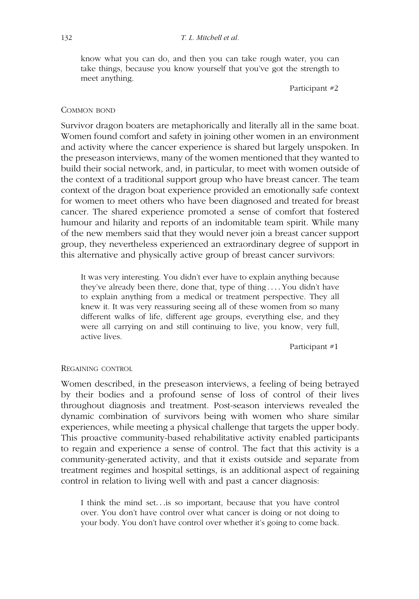know what you can do, and then you can take rough water, you can take things, because you know yourself that you've got the strength to meet anything.

Participant #2

#### COMMON BOND

Survivor dragon boaters are metaphorically and literally all in the same boat. Women found comfort and safety in joining other women in an environment and activity where the cancer experience is shared but largely unspoken. In the preseason interviews, many of the women mentioned that they wanted to build their social network, and, in particular, to meet with women outside of the context of a traditional support group who have breast cancer. The team context of the dragon boat experience provided an emotionally safe context for women to meet others who have been diagnosed and treated for breast cancer. The shared experience promoted a sense of comfort that fostered humour and hilarity and reports of an indomitable team spirit. While many of the new members said that they would never join a breast cancer support group, they nevertheless experienced an extraordinary degree of support in this alternative and physically active group of breast cancer survivors:

It was very interesting. You didn't ever have to explain anything because they've already been there, done that, type of thing . ... You didn't have to explain anything from a medical or treatment perspective. They all knew it. It was very reassuring seeing all of these women from so many different walks of life, different age groups, everything else, and they were all carrying on and still continuing to live, you know, very full, active lives.

Participant #1

#### REGAINING CONTROL

Women described, in the preseason interviews, a feeling of being betrayed by their bodies and a profound sense of loss of control of their lives throughout diagnosis and treatment. Post-season interviews revealed the dynamic combination of survivors being with women who share similar experiences, while meeting a physical challenge that targets the upper body. This proactive community-based rehabilitative activity enabled participants to regain and experience a sense of control. The fact that this activity is a community-generated activity, and that it exists outside and separate from treatment regimes and hospital settings, is an additional aspect of regaining control in relation to living well with and past a cancer diagnosis:

I think the mind set...is so important, because that you have control over. You don't have control over what cancer is doing or not doing to your body. You don't have control over whether it's going to come back.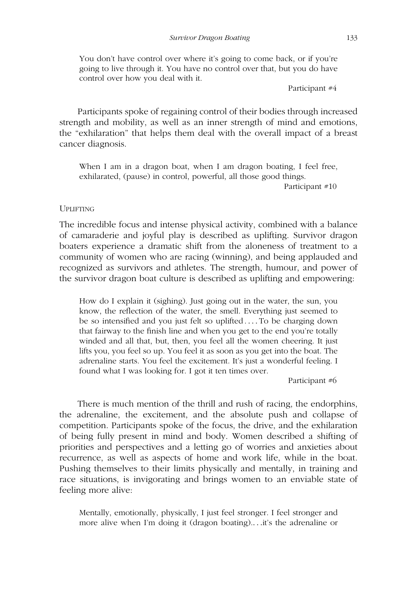You don't have control over where it's going to come back, or if you're going to live through it. You have no control over that, but you do have control over how you deal with it.

Participant #4

Participants spoke of regaining control of their bodies through increased strength and mobility, as well as an inner strength of mind and emotions, the "exhilaration" that helps them deal with the overall impact of a breast cancer diagnosis.

When I am in a dragon boat, when I am dragon boating, I feel free, exhilarated, (pause) in control, powerful, all those good things. Participant #10

## UPLIFTING

The incredible focus and intense physical activity, combined with a balance of camaraderie and joyful play is described as uplifting. Survivor dragon boaters experience a dramatic shift from the aloneness of treatment to a community of women who are racing (winning), and being applauded and recognized as survivors and athletes. The strength, humour, and power of the survivor dragon boat culture is described as uplifting and empowering:

How do I explain it (sighing). Just going out in the water, the sun, you know, the reflection of the water, the smell. Everything just seemed to be so intensified and you just felt so uplifted . ... To be charging down that fairway to the finish line and when you get to the end you're totally winded and all that, but, then, you feel all the women cheering. It just lifts you, you feel so up. You feel it as soon as you get into the boat. The adrenaline starts. You feel the excitement. It's just a wonderful feeling. I found what I was looking for. I got it ten times over.

Participant #6

There is much mention of the thrill and rush of racing, the endorphins, the adrenaline, the excitement, and the absolute push and collapse of competition. Participants spoke of the focus, the drive, and the exhilaration of being fully present in mind and body. Women described a shifting of priorities and perspectives and a letting go of worries and anxieties about recurrence, as well as aspects of home and work life, while in the boat. Pushing themselves to their limits physically and mentally, in training and race situations, is invigorating and brings women to an enviable state of feeling more alive:

Mentally, emotionally, physically, I just feel stronger. I feel stronger and more alive when I'm doing it (dragon boating)....it's the adrenaline or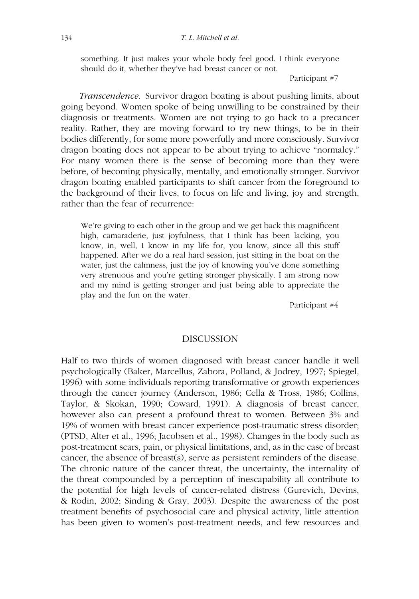something. It just makes your whole body feel good. I think everyone should do it, whether they've had breast cancer or not.

#### Participant #7

*Transcendence.* Survivor dragon boating is about pushing limits, about going beyond. Women spoke of being unwilling to be constrained by their diagnosis or treatments. Women are not trying to go back to a precancer reality. Rather, they are moving forward to try new things, to be in their bodies differently, for some more powerfully and more consciously. Survivor dragon boating does not appear to be about trying to achieve "normalcy." For many women there is the sense of becoming more than they were before, of becoming physically, mentally, and emotionally stronger. Survivor dragon boating enabled participants to shift cancer from the foreground to the background of their lives, to focus on life and living, joy and strength, rather than the fear of recurrence:

We're giving to each other in the group and we get back this magnificent high, camaraderie, just joyfulness, that I think has been lacking, you know, in, well, I know in my life for, you know, since all this stuff happened. After we do a real hard session, just sitting in the boat on the water, just the calmness, just the joy of knowing you've done something very strenuous and you're getting stronger physically. I am strong now and my mind is getting stronger and just being able to appreciate the play and the fun on the water.

Participant #4

# DISCUSSION

Half to two thirds of women diagnosed with breast cancer handle it well psychologically (Baker, Marcellus, Zabora, Polland, & Jodrey, 1997; Spiegel, 1996) with some individuals reporting transformative or growth experiences through the cancer journey (Anderson, 1986; Cella & Tross, 1986; Collins, Taylor, & Skokan, 1990; Coward, 1991). A diagnosis of breast cancer, however also can present a profound threat to women. Between 3% and 19% of women with breast cancer experience post-traumatic stress disorder; (PTSD, Alter et al., 1996; Jacobsen et al., 1998). Changes in the body such as post-treatment scars, pain, or physical limitations, and, as in the case of breast cancer, the absence of breast(s), serve as persistent reminders of the disease. The chronic nature of the cancer threat, the uncertainty, the internality of the threat compounded by a perception of inescapability all contribute to the potential for high levels of cancer-related distress (Gurevich, Devins, & Rodin, 2002; Sinding & Gray, 2003). Despite the awareness of the post treatment benefits of psychosocial care and physical activity, little attention has been given to women's post-treatment needs, and few resources and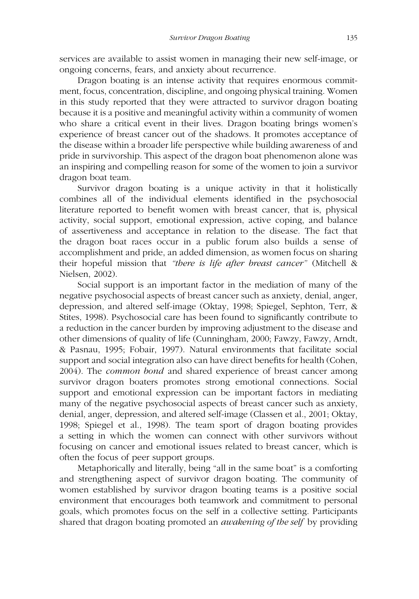services are available to assist women in managing their new self-image, or ongoing concerns, fears, and anxiety about recurrence.

Dragon boating is an intense activity that requires enormous commitment, focus, concentration, discipline, and ongoing physical training. Women in this study reported that they were attracted to survivor dragon boating because it is a positive and meaningful activity within a community of women who share a critical event in their lives. Dragon boating brings women's experience of breast cancer out of the shadows. It promotes acceptance of the disease within a broader life perspective while building awareness of and pride in survivorship. This aspect of the dragon boat phenomenon alone was an inspiring and compelling reason for some of the women to join a survivor dragon boat team.

Survivor dragon boating is a unique activity in that it holistically combines all of the individual elements identified in the psychosocial literature reported to benefit women with breast cancer, that is, physical activity, social support, emotional expression, active coping, and balance of assertiveness and acceptance in relation to the disease. The fact that the dragon boat races occur in a public forum also builds a sense of accomplishment and pride, an added dimension, as women focus on sharing their hopeful mission that *"there is life after breast cancer"* (Mitchell & Nielsen, 2002).

Social support is an important factor in the mediation of many of the negative psychosocial aspects of breast cancer such as anxiety, denial, anger, depression, and altered self-image (Oktay, 1998; Spiegel, Sephton, Terr, & Stites, 1998). Psychosocial care has been found to significantly contribute to a reduction in the cancer burden by improving adjustment to the disease and other dimensions of quality of life (Cunningham, 2000; Fawzy, Fawzy, Arndt, & Pasnau, 1995; Fobair, 1997). Natural environments that facilitate social support and social integration also can have direct benefits for health (Cohen, 2004). The *common bond* and shared experience of breast cancer among survivor dragon boaters promotes strong emotional connections. Social support and emotional expression can be important factors in mediating many of the negative psychosocial aspects of breast cancer such as anxiety, denial, anger, depression, and altered self-image (Classen et al., 2001; Oktay, 1998; Spiegel et al., 1998). The team sport of dragon boating provides a setting in which the women can connect with other survivors without focusing on cancer and emotional issues related to breast cancer, which is often the focus of peer support groups.

Metaphorically and literally, being "all in the same boat" is a comforting and strengthening aspect of survivor dragon boating. The community of women established by survivor dragon boating teams is a positive social environment that encourages both teamwork and commitment to personal goals, which promotes focus on the self in a collective setting. Participants shared that dragon boating promoted an *awakening of the self* by providing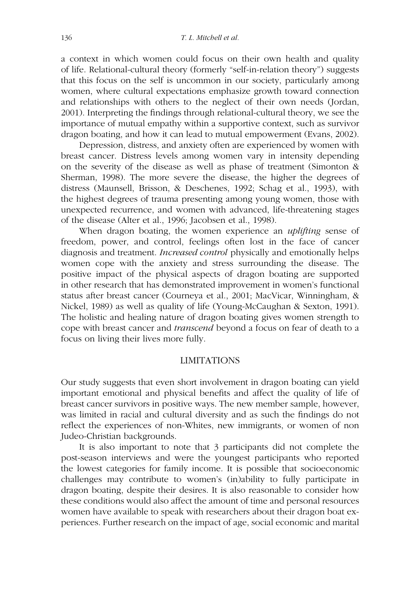a context in which women could focus on their own health and quality of life. Relational-cultural theory (formerly "self-in-relation theory") suggests that this focus on the self is uncommon in our society, particularly among women, where cultural expectations emphasize growth toward connection and relationships with others to the neglect of their own needs (Jordan, 2001). Interpreting the findings through relational-cultural theory, we see the importance of mutual empathy within a supportive context, such as survivor dragon boating, and how it can lead to mutual empowerment (Evans, 2002).

Depression, distress, and anxiety often are experienced by women with breast cancer. Distress levels among women vary in intensity depending on the severity of the disease as well as phase of treatment (Simonton & Sherman, 1998). The more severe the disease, the higher the degrees of distress (Maunsell, Brisson, & Deschenes, 1992; Schag et al., 1993), with the highest degrees of trauma presenting among young women, those with unexpected recurrence, and women with advanced, life-threatening stages of the disease (Alter et al., 1996; Jacobsen et al., 1998).

When dragon boating, the women experience an *uplifting* sense of freedom, power, and control, feelings often lost in the face of cancer diagnosis and treatment. *Increased control* physically and emotionally helps women cope with the anxiety and stress surrounding the disease. The positive impact of the physical aspects of dragon boating are supported in other research that has demonstrated improvement in women's functional status after breast cancer (Courneya et al., 2001; MacVicar, Winningham, & Nickel, 1989) as well as quality of life (Young-McCaughan & Sexton, 1991). The holistic and healing nature of dragon boating gives women strength to cope with breast cancer and *transcend* beyond a focus on fear of death to a focus on living their lives more fully.

# LIMITATIONS

Our study suggests that even short involvement in dragon boating can yield important emotional and physical benefits and affect the quality of life of breast cancer survivors in positive ways. The new member sample, however, was limited in racial and cultural diversity and as such the findings do not reflect the experiences of non-Whites, new immigrants, or women of non Judeo-Christian backgrounds.

It is also important to note that 3 participants did not complete the post-season interviews and were the youngest participants who reported the lowest categories for family income. It is possible that socioeconomic challenges may contribute to women's (in)ability to fully participate in dragon boating, despite their desires. It is also reasonable to consider how these conditions would also affect the amount of time and personal resources women have available to speak with researchers about their dragon boat experiences. Further research on the impact of age, social economic and marital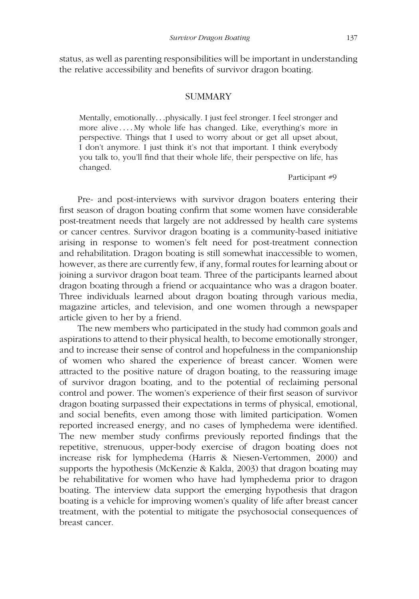status, as well as parenting responsibilities will be important in understanding the relative accessibility and benefits of survivor dragon boating.

# **SUMMARY**

Mentally, emotionally...physically. I just feel stronger. I feel stronger and more alive . ... My whole life has changed. Like, everything's more in perspective. Things that I used to worry about or get all upset about, I don't anymore. I just think it's not that important. I think everybody you talk to, you'll find that their whole life, their perspective on life, has changed.

Participant #9

Pre- and post-interviews with survivor dragon boaters entering their first season of dragon boating confirm that some women have considerable post-treatment needs that largely are not addressed by health care systems or cancer centres. Survivor dragon boating is a community-based initiative arising in response to women's felt need for post-treatment connection and rehabilitation. Dragon boating is still somewhat inaccessible to women, however, as there are currently few, if any, formal routes for learning about or joining a survivor dragon boat team. Three of the participants learned about dragon boating through a friend or acquaintance who was a dragon boater. Three individuals learned about dragon boating through various media, magazine articles, and television, and one women through a newspaper article given to her by a friend.

The new members who participated in the study had common goals and aspirations to attend to their physical health, to become emotionally stronger, and to increase their sense of control and hopefulness in the companionship of women who shared the experience of breast cancer. Women were attracted to the positive nature of dragon boating, to the reassuring image of survivor dragon boating, and to the potential of reclaiming personal control and power. The women's experience of their first season of survivor dragon boating surpassed their expectations in terms of physical, emotional, and social benefits, even among those with limited participation. Women reported increased energy, and no cases of lymphedema were identified. The new member study confirms previously reported findings that the repetitive, strenuous, upper-body exercise of dragon boating does not increase risk for lymphedema (Harris & Niesen-Vertommen, 2000) and supports the hypothesis (McKenzie & Kalda, 2003) that dragon boating may be rehabilitative for women who have had lymphedema prior to dragon boating. The interview data support the emerging hypothesis that dragon boating is a vehicle for improving women's quality of life after breast cancer treatment, with the potential to mitigate the psychosocial consequences of breast cancer.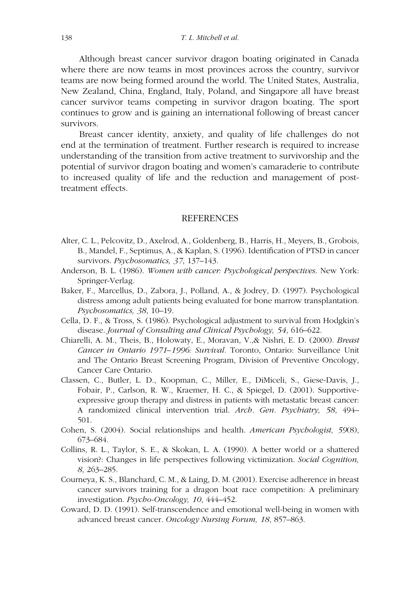Although breast cancer survivor dragon boating originated in Canada where there are now teams in most provinces across the country, survivor teams are now being formed around the world. The United States, Australia, New Zealand, China, England, Italy, Poland, and Singapore all have breast cancer survivor teams competing in survivor dragon boating. The sport continues to grow and is gaining an international following of breast cancer survivors.

Breast cancer identity, anxiety, and quality of life challenges do not end at the termination of treatment. Further research is required to increase understanding of the transition from active treatment to survivorship and the potential of survivor dragon boating and women's camaraderie to contribute to increased quality of life and the reduction and management of posttreatment effects.

# **REFERENCES**

- Alter, C. L., Pelcovitz, D., Axelrod, A., Goldenberg, B., Harris, H., Meyers, B., Grobois, B., Mandel, F., Septimus, A., & Kaplan, S. (1996). Identification of PTSD in cancer survivors. *Psychosomatics, 37*, 137–143.
- Anderson, B. L. (1986). *Women with cancer: Psychological perspectives*. New York: Springer-Verlag.
- Baker, F., Marcellus, D., Zabora, J., Polland, A., & Jodrey, D. (1997). Psychological distress among adult patients being evaluated for bone marrow transplantation. *Psychosomatics, 38*, 10–19.
- Cella, D. F., & Tross, S. (1986). Psychological adjustment to survival from Hodgkin's disease. *Journal of Consulting and Clinical Psychology, 54*, 616–622.
- Chiarelli, A. M., Theis, B., Holowaty, E., Moravan, V.,& Nishri, E. D. (2000). *Breast Cancer in Ontario 1971–1996: Survival.* Toronto, Ontario: Surveillance Unit and The Ontario Breast Screening Program, Division of Preventive Oncology, Cancer Care Ontario.
- Classen, C., Butler, L. D., Koopman, C., Miller, E., DiMiceli, S., Giese-Davis, J., Fobair, P., Carlson, R. W., Kraemer, H. C., & Spiegel, D. (2001). Supportiveexpressive group therapy and distress in patients with metastatic breast cancer: A randomized clinical intervention trial. *Arch. Gen. Psychiatry, 58*, 494– 501.
- Cohen, S. (2004). Social relationships and health. *American Psychologist, 59*(8), 673–684.
- Collins, R. L., Taylor, S. E., & Skokan, L. A. (1990). A better world or a shattered vision?: Changes in life perspectives following victimization. *Social Cognition, 8*, 263–285.
- Courneya, K. S., Blanchard, C. M., & Laing, D. M. (2001). Exercise adherence in breast cancer survivors training for a dragon boat race competition: A preliminary investigation. *Psycho-Oncology, 10*, 444–452.
- Coward, D. D. (1991). Self-transcendence and emotional well-being in women with advanced breast cancer. *Oncology Nursing Forum, 18*, 857–863.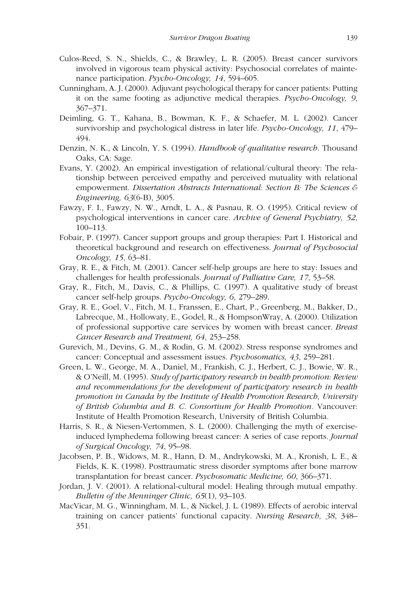- Culos-Reed, S. N., Shields, C., & Brawley, L. R. (2005). Breast cancer survivors involved in vigorous team physical activity: Psychosocial correlates of maintenance participation. *Psycho-Oncology, 14*, 594–605.
- Cunningham, A. J. (2000). Adjuvant psychological therapy for cancer patients: Putting it on the same footing as adjunctive medical therapies. *Psycho-Oncology, 9*, 367–371.
- Deimling, G. T., Kahana, B., Bowman, K. F., & Schaefer, M. L. (2002). Cancer survivorship and psychological distress in later life. *Psycho-Oncology, 11*, 479– 494.
- Denzin, N. K., & Lincoln, Y. S. (1994). *Handbook of qualitative research*. Thousand Oaks, CA: Sage.
- Evans, Y. (2002). An empirical investigation of relational/cultural theory: The relationship between perceived empathy and perceived mutuality with relational empowerment. *Dissertation Abstracts International: Section B: The Sciences & Engineering, 63*(6-B), 3005.
- Fawzy, F. I., Fawzy, N. W., Arndt, L. A., & Pasnau, R. O. (1995). Critical review of psychological interventions in cancer care. *Archive of General Psychiatry, 52*, 100–113.
- Fobair, P. (1997). Cancer support groups and group therapies: Part I. Historical and theoretical background and research on effectiveness. *Journal of Psychosocial Oncology, 15*, 63–81.
- Gray, R. E., & Fitch, M. (2001). Cancer self-help groups are here to stay: Issues and challenges for health professionals. *Journal of Palliative Care, 17*, 53–58.
- Gray, R., Fitch, M., Davis, C., & Phillips, C. (1997). A qualitative study of breast cancer self-help groups. *Psycho-Oncology, 6*, 279–289.
- Gray, R. E., Goel, V., Fitch, M. I., Franssen, E., Chart, P., Greenberg, M., Bakker, D., Labrecque, M., Hollowaty, E., Godel, R., & HompsonWray, A. (2000). Utilization of professional supportive care services by women with breast cancer. *Breast Cancer Research and Treatment, 64*, 253–258.
- Gurevich, M., Devins, G. M., & Rodin, G. M. (2002). Stress response syndromes and cancer: Conceptual and assessment issues. *Psychosomatics, 43*, 259–281.
- Green, L. W., George, M. A., Daniel, M., Frankish, C. J., Herbert, C. J., Bowie, W. R., & O'Neill, M. (1995). *Study of participatory research in health promotion: Review and recommendations for the development of participatory research in health promotion in Canada by the Institute of Health Promotion Research, University of British Columbia and B. C. Consortium for Health Promotion.* Vancouver: Institute of Health Promotion Research, University of British Columbia.
- Harris, S. R., & Niesen-Vertommen, S. L. (2000). Challenging the myth of exerciseinduced lymphedema following breast cancer: A series of case reports. *Journal of Surgical Oncology, 74*, 95–98.
- Jacobsen, P. B., Widows, M. R., Hann, D. M., Andrykowski, M. A., Kronish, L. E., & Fields, K. K. (1998). Posttraumatic stress disorder symptoms after bone marrow transplantation for breast cancer. *Psychosomatic Medicine, 60*, 366–371.
- Jordan, J. V. (2001). A relational-cultural model: Healing through mutual empathy. *Bulletin of the Menninger Clinic, 65*(1), 93–103.
- MacVicar, M. G., Winningham, M. L., & Nickel, J. L. (1989). Effects of aerobic interval training on cancer patients' functional capacity. *Nursing Research, 38*, 348– 351.